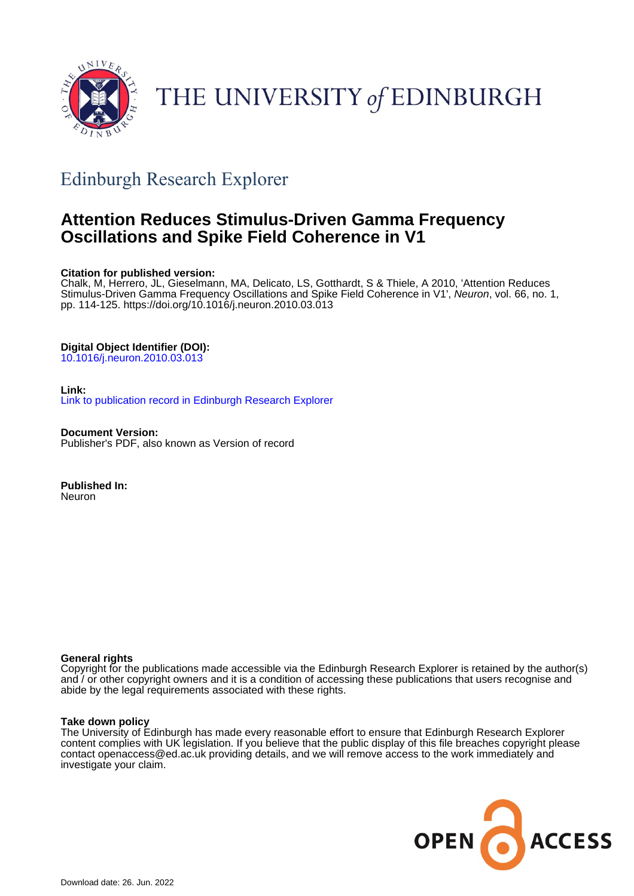

# THE UNIVERSITY of EDINBURGH

## Edinburgh Research Explorer

## **Attention Reduces Stimulus-Driven Gamma Frequency Oscillations and Spike Field Coherence in V1**

## **Citation for published version:**

Chalk, M, Herrero, JL, Gieselmann, MA, Delicato, LS, Gotthardt, S & Thiele, A 2010, 'Attention Reduces Stimulus-Driven Gamma Frequency Oscillations and Spike Field Coherence in V1', Neuron, vol. 66, no. 1, pp. 114-125. <https://doi.org/10.1016/j.neuron.2010.03.013>

## **Digital Object Identifier (DOI):**

[10.1016/j.neuron.2010.03.013](https://doi.org/10.1016/j.neuron.2010.03.013)

## **Link:**

[Link to publication record in Edinburgh Research Explorer](https://www.research.ed.ac.uk/en/publications/55778630-976c-498b-9347-6363913b3a1f)

**Document Version:** Publisher's PDF, also known as Version of record

**Published In:** Neuron

## **General rights**

Copyright for the publications made accessible via the Edinburgh Research Explorer is retained by the author(s) and / or other copyright owners and it is a condition of accessing these publications that users recognise and abide by the legal requirements associated with these rights.

## **Take down policy**

The University of Edinburgh has made every reasonable effort to ensure that Edinburgh Research Explorer content complies with UK legislation. If you believe that the public display of this file breaches copyright please contact openaccess@ed.ac.uk providing details, and we will remove access to the work immediately and investigate your claim.

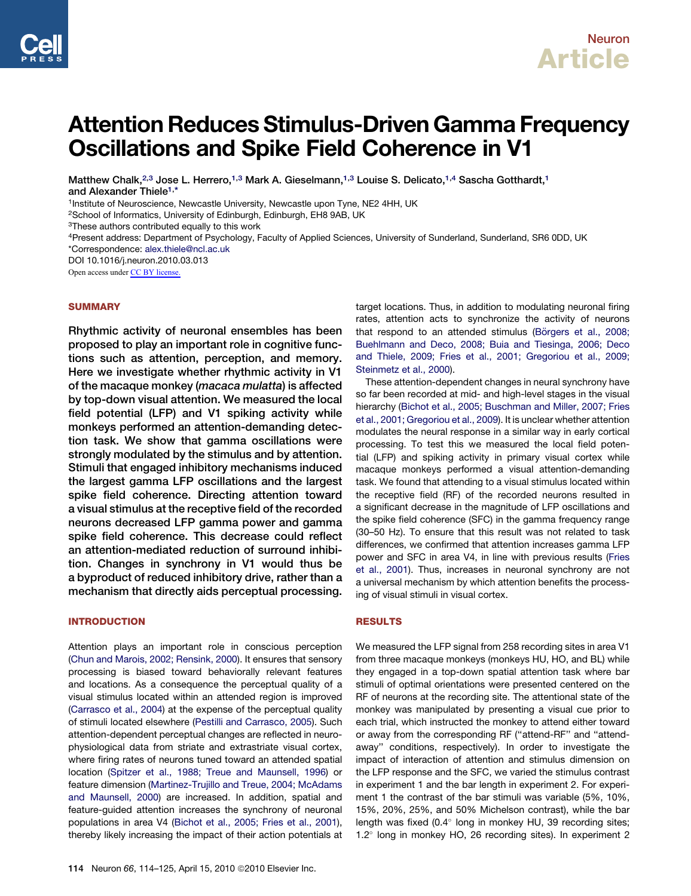## <span id="page-1-0"></span>Attention Reduces Stimulus-Driven Gamma Frequency Oscillations and Spike Field Coherence in V1

Matthew Chalk,<sup>2,3</sup> Jose L. Herrero,<sup>1,3</sup> Mark A. Gieselmann,<sup>1,3</sup> Louise S. Delicato,<sup>1,4</sup> Sascha Gotthardt,<sup>1</sup> and Alexander Thiele<sup>1,\*</sup>

<sup>1</sup>Institute of Neuroscience, Newcastle University, Newcastle upon Tyne, NE2 4HH, UK

2School of Informatics, University of Edinburgh, Edinburgh, EH8 9AB, UK

<sup>3</sup>These authors contributed equally to this work

4Present address: Department of Psychology, Faculty of Applied Sciences, University of Sunderland, Sunderland, SR6 0DD, UK \*Correspondence: [alex.thiele@ncl.ac.uk](mailto:alex.thiele@ncl.ac.uk)

DOI 10.1016/j.neuron.2010.03.013

Open access under [CC BY license.](http://creativecommons.org/licenses/by/3.0/)

#### **SUMMARY**

Rhythmic activity of neuronal ensembles has been proposed to play an important role in cognitive functions such as attention, perception, and memory. Here we investigate whether rhythmic activity in V1 of the macaque monkey (macaca mulatta) is affected by top-down visual attention. We measured the local field potential (LFP) and V1 spiking activity while monkeys performed an attention-demanding detection task. We show that gamma oscillations were strongly modulated by the stimulus and by attention. Stimuli that engaged inhibitory mechanisms induced the largest gamma LFP oscillations and the largest spike field coherence. Directing attention toward a visual stimulus at the receptive field of the recorded neurons decreased LFP gamma power and gamma spike field coherence. This decrease could reflect an attention-mediated reduction of surround inhibition. Changes in synchrony in V1 would thus be a byproduct of reduced inhibitory drive, rather than a mechanism that directly aids perceptual processing.

### INTRODUCTION

Attention plays an important role in conscious perception ([Chun and Marois, 2002; Rensink, 2000](#page-11-0)). It ensures that sensory processing is biased toward behaviorally relevant features and locations. As a consequence the perceptual quality of a visual stimulus located within an attended region is improved ([Carrasco et al., 2004\)](#page-11-0) at the expense of the perceptual quality of stimuli located elsewhere [\(Pestilli and Carrasco, 2005](#page-12-0)). Such attention-dependent perceptual changes are reflected in neurophysiological data from striate and extrastriate visual cortex, where firing rates of neurons tuned toward an attended spatial location [\(Spitzer et al., 1988; Treue and Maunsell, 1996](#page-12-0)) or feature dimension ([Martinez-Trujillo and Treue, 2004; McAdams](#page-11-0) [and Maunsell, 2000](#page-11-0)) are increased. In addition, spatial and feature-guided attention increases the synchrony of neuronal populations in area V4 [\(Bichot et al., 2005; Fries et al., 2001](#page-11-0)), thereby likely increasing the impact of their action potentials at target locations. Thus, in addition to modulating neuronal firing rates, attention acts to synchronize the activity of neurons that respond to an attended stimulus (Bö[rgers et al., 2008;](#page-11-0) [Buehlmann and Deco, 2008; Buia and Tiesinga, 2006; Deco](#page-11-0) [and Thiele, 2009; Fries et al., 2001; Gregoriou et al., 2009;](#page-11-0) [Steinmetz et al., 2000\)](#page-11-0).

These attention-dependent changes in neural synchrony have so far been recorded at mid- and high-level stages in the visual hierarchy [\(Bichot et al., 2005; Buschman and Miller, 2007; Fries](#page-11-0) [et al., 2001; Gregoriou et al., 2009\)](#page-11-0). It is unclear whether attention modulates the neural response in a similar way in early cortical processing. To test this we measured the local field potential (LFP) and spiking activity in primary visual cortex while macaque monkeys performed a visual attention-demanding task. We found that attending to a visual stimulus located within the receptive field (RF) of the recorded neurons resulted in a significant decrease in the magnitude of LFP oscillations and the spike field coherence (SFC) in the gamma frequency range (30–50 Hz). To ensure that this result was not related to task differences, we confirmed that attention increases gamma LFP power and SFC in area V4, in line with previous results ([Fries](#page-11-0) [et al., 2001](#page-11-0)). Thus, increases in neuronal synchrony are not a universal mechanism by which attention benefits the processing of visual stimuli in visual cortex.

#### RESULTS

We measured the LFP signal from 258 recording sites in area V1 from three macaque monkeys (monkeys HU, HO, and BL) while they engaged in a top-down spatial attention task where bar stimuli of optimal orientations were presented centered on the RF of neurons at the recording site. The attentional state of the monkey was manipulated by presenting a visual cue prior to each trial, which instructed the monkey to attend either toward or away from the corresponding RF (''attend-RF'' and ''attendaway'' conditions, respectively). In order to investigate the impact of interaction of attention and stimulus dimension on the LFP response and the SFC, we varied the stimulus contrast in experiment 1 and the bar length in experiment 2. For experiment 1 the contrast of the bar stimuli was variable (5%, 10%, 15%, 20%, 25%, and 50% Michelson contrast), while the bar length was fixed (0.4° long in monkey HU, 39 recording sites; 1.2° long in monkey HO, 26 recording sites). In experiment 2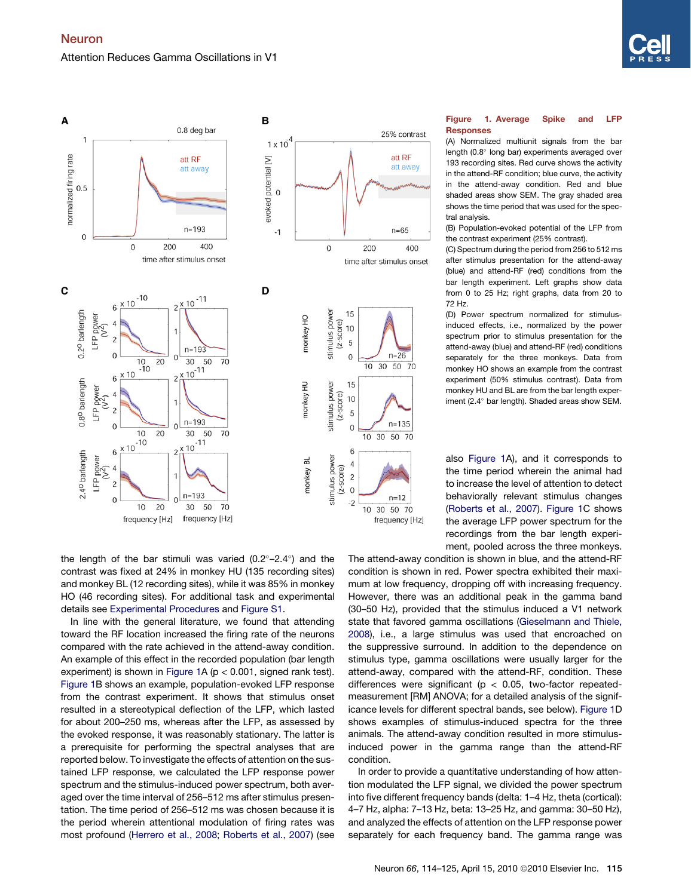

<span id="page-2-0"></span>

#### Figure 1. Average Spike and LFP **Responses**

(A) Normalized multiunit signals from the bar length (0.8° long bar) experiments averaged over 193 recording sites. Red curve shows the activity in the attend-RF condition; blue curve, the activity in the attend-away condition. Red and blue shaded areas show SEM. The gray shaded area shows the time period that was used for the spectral analysis.

(B) Population-evoked potential of the LFP from the contrast experiment (25% contrast).

(C) Spectrum during the period from 256 to 512 ms after stimulus presentation for the attend-away (blue) and attend-RF (red) conditions from the bar length experiment. Left graphs show data from 0 to 25 Hz; right graphs, data from 20 to 72 Hz.

(D) Power spectrum normalized for stimulusinduced effects, i.e., normalized by the power spectrum prior to stimulus presentation for the attend-away (blue) and attend-RF (red) conditions separately for the three monkeys. Data from monkey HO shows an example from the contrast experiment (50% stimulus contrast). Data from monkey HU and BL are from the bar length experiment (2.4° bar length). Shaded areas show SEM.

also Figure 1A), and it corresponds to the time period wherein the animal had to increase the level of attention to detect behaviorally relevant stimulus changes ([Roberts et al., 2007](#page-12-0)). Figure 1C shows the average LFP power spectrum for the recordings from the bar length experiment, pooled across the three monkeys.

the length of the bar stimuli was varied  $(0.2^{\circ}-2.4^{\circ})$  and the contrast was fixed at 24% in monkey HU (135 recording sites) and monkey BL (12 recording sites), while it was 85% in monkey HO (46 recording sites). For additional task and experimental details see [Experimental Procedures](#page-10-0) and [Figure S1.](#page-11-0)

In line with the general literature, we found that attending toward the RF location increased the firing rate of the neurons compared with the rate achieved in the attend-away condition. An example of this effect in the recorded population (bar length experiment) is shown in Figure 1A ( $p < 0.001$ , signed rank test). Figure 1B shows an example, population-evoked LFP response from the contrast experiment. It shows that stimulus onset resulted in a stereotypical deflection of the LFP, which lasted for about 200–250 ms, whereas after the LFP, as assessed by the evoked response, it was reasonably stationary. The latter is a prerequisite for performing the spectral analyses that are reported below. To investigate the effects of attention on the sustained LFP response, we calculated the LFP response power spectrum and the stimulus-induced power spectrum, both averaged over the time interval of 256–512 ms after stimulus presentation. The time period of 256–512 ms was chosen because it is the period wherein attentional modulation of firing rates was most profound ([Herrero et al., 2008; Roberts et al., 2007](#page-11-0)) (see

The attend-away condition is shown in blue, and the attend-RF condition is shown in red. Power spectra exhibited their maximum at low frequency, dropping off with increasing frequency. However, there was an additional peak in the gamma band (30–50 Hz), provided that the stimulus induced a V1 network state that favored gamma oscillations ([Gieselmann and Thiele,](#page-11-0) [2008\)](#page-11-0), i.e., a large stimulus was used that encroached on the suppressive surround. In addition to the dependence on stimulus type, gamma oscillations were usually larger for the attend-away, compared with the attend-RF, condition. These differences were significant ( $p < 0.05$ , two-factor repeatedmeasurement [RM] ANOVA; for a detailed analysis of the significance levels for different spectral bands, see below). Figure 1D shows examples of stimulus-induced spectra for the three animals. The attend-away condition resulted in more stimulusinduced power in the gamma range than the attend-RF condition.

In order to provide a quantitative understanding of how attention modulated the LFP signal, we divided the power spectrum into five different frequency bands (delta: 1–4 Hz, theta (cortical): 4–7 Hz, alpha: 7–13 Hz, beta: 13–25 Hz, and gamma: 30–50 Hz), and analyzed the effects of attention on the LFP response power separately for each frequency band. The gamma range was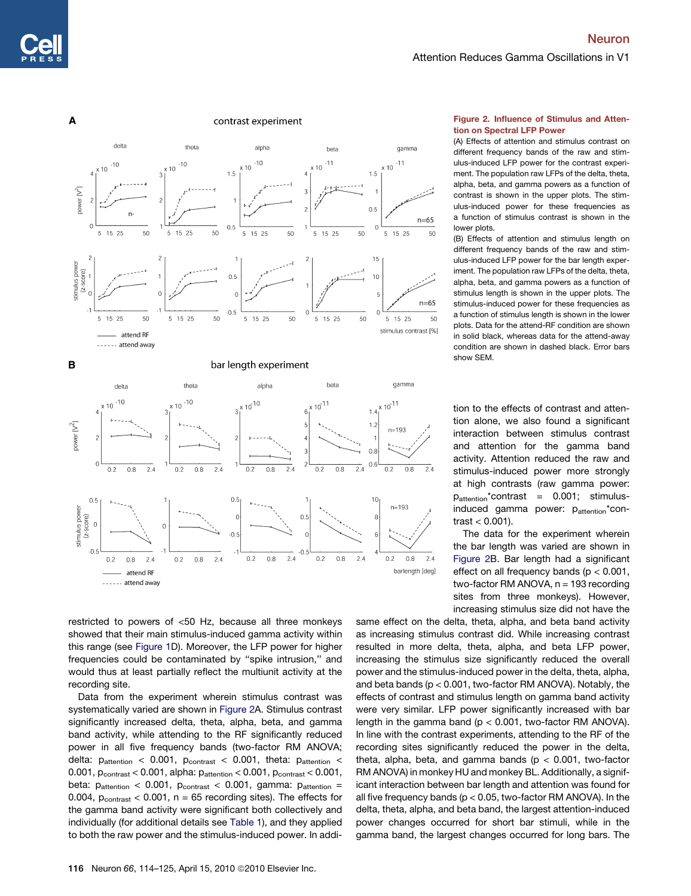# Attention Reduces Gamma Oscillations in V1

# Neuron



restricted to powers of <50 Hz, because all three monkeys showed that their main stimulus-induced gamma activity within this range (see [Figure 1](#page-2-0)D). Moreover, the LFP power for higher frequencies could be contaminated by ''spike intrusion,'' and would thus at least partially reflect the multiunit activity at the recording site.

Data from the experiment wherein stimulus contrast was systematically varied are shown in Figure 2A. Stimulus contrast significantly increased delta, theta, alpha, beta, and gamma band activity, while attending to the RF significantly reduced power in all five frequency bands (two-factor RM ANOVA; delta:  $p_{attention}$  < 0.001,  $p_{contrast}$  < 0.001, theta:  $p_{attention}$  < 0.001,  $p_{\text{contrast}} < 0.001$ , alpha:  $p_{\text{attention}} < 0.001$ ,  $p_{\text{contrast}} < 0.001$ , beta:  $p_{attention}$  < 0.001,  $p_{contrast}$  < 0.001, gamma:  $p_{attention}$  = 0.004,  $p_{contrast} < 0.001$ ,  $n = 65$  recording sites). The effects for the gamma band activity were significant both collectively and individually (for additional details see [Table 1\)](#page-4-0), and they applied to both the raw power and the stimulus-induced power. In addi-

### Figure 2. Influence of Stimulus and Attention on Spectral LFP Power

(A) Effects of attention and stimulus contrast on different frequency bands of the raw and stimulus-induced LFP power for the contrast experiment. The population raw LFPs of the delta, theta, alpha, beta, and gamma powers as a function of contrast is shown in the upper plots. The stimulus-induced power for these frequencies as a function of stimulus contrast is shown in the lower plots.

(B) Effects of attention and stimulus length on different frequency bands of the raw and stimulus-induced LFP power for the bar length experiment. The population raw LFPs of the delta, theta, alpha, beta, and gamma powers as a function of stimulus length is shown in the upper plots. The stimulus-induced power for these frequencies as a function of stimulus length is shown in the lower plots. Data for the attend-RF condition are shown in solid black, whereas data for the attend-away condition are shown in dashed black. Error bars show SEM.

tion to the effects of contrast and attention alone, we also found a significant interaction between stimulus contrast and attention for the gamma band activity. Attention reduced the raw and stimulus-induced power more strongly at high contrasts (raw gamma power: pattention\*contrast = 0.001; stimulusinduced gamma power: pattention\*contrast  $< 0.001$ ).

The data for the experiment wherein the bar length was varied are shown in Figure 2B. Bar length had a significant effect on all frequency bands ( $p < 0.001$ , two-factor RM ANOVA, n = 193 recording sites from three monkeys). However, increasing stimulus size did not have the

same effect on the delta, theta, alpha, and beta band activity as increasing stimulus contrast did. While increasing contrast resulted in more delta, theta, alpha, and beta LFP power, increasing the stimulus size significantly reduced the overall power and the stimulus-induced power in the delta, theta, alpha, and beta bands (p < 0.001, two-factor RM ANOVA). Notably, the effects of contrast and stimulus length on gamma band activity were very similar. LFP power significantly increased with bar length in the gamma band (p < 0.001, two-factor RM ANOVA). In line with the contrast experiments, attending to the RF of the recording sites significantly reduced the power in the delta, theta, alpha, beta, and gamma bands ( $p < 0.001$ , two-factor RM ANOVA) in monkey HU and monkey BL. Additionally, a significant interaction between bar length and attention was found for all five frequency bands (p < 0.05, two-factor RM ANOVA). In the delta, theta, alpha, and beta band, the largest attention-induced power changes occurred for short bar stimuli, while in the gamma band, the largest changes occurred for long bars. The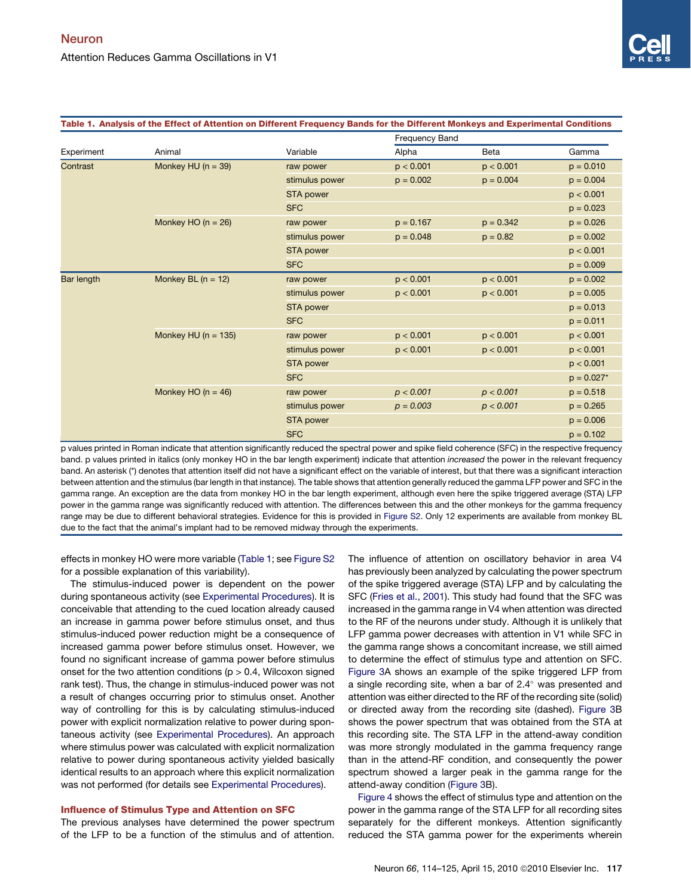<span id="page-4-0"></span>

| Table 1. Analysis of the Effect of Attention on Different Frequency Bands for the Different Monkeys and Experimental Conditions |                         |                |                |             |              |
|---------------------------------------------------------------------------------------------------------------------------------|-------------------------|----------------|----------------|-------------|--------------|
| Experiment                                                                                                                      | Animal                  | Variable       | Frequency Band |             |              |
|                                                                                                                                 |                         |                | Alpha          | <b>Beta</b> | Gamma        |
| Contrast                                                                                                                        | Monkey HU ( $n = 39$ )  | raw power      | p < 0.001      | p < 0.001   | $p = 0.010$  |
|                                                                                                                                 |                         | stimulus power | $p = 0.002$    | $p = 0.004$ | $p = 0.004$  |
|                                                                                                                                 |                         | STA power      |                |             | p < 0.001    |
|                                                                                                                                 |                         | <b>SFC</b>     |                |             | $p = 0.023$  |
|                                                                                                                                 | Monkey HO ( $n = 26$ )  | raw power      | $p = 0.167$    | $p = 0.342$ | $p = 0.026$  |
|                                                                                                                                 |                         | stimulus power | $p = 0.048$    | $p = 0.82$  | $p = 0.002$  |
|                                                                                                                                 |                         | STA power      |                |             | p < 0.001    |
|                                                                                                                                 |                         | <b>SFC</b>     |                |             | $p = 0.009$  |
| Bar length                                                                                                                      | Monkey BL $(n = 12)$    | raw power      | p < 0.001      | p < 0.001   | $p = 0.002$  |
|                                                                                                                                 |                         | stimulus power | p < 0.001      | p < 0.001   | $p = 0.005$  |
|                                                                                                                                 |                         | STA power      |                |             | $p = 0.013$  |
|                                                                                                                                 |                         | <b>SFC</b>     |                |             | $p = 0.011$  |
|                                                                                                                                 | Monkey HU ( $n = 135$ ) | raw power      | p < 0.001      | p < 0.001   | p < 0.001    |
|                                                                                                                                 |                         | stimulus power | p < 0.001      | p < 0.001   | p < 0.001    |
|                                                                                                                                 |                         | STA power      |                |             | p < 0.001    |
|                                                                                                                                 |                         | <b>SFC</b>     |                |             | $p = 0.027*$ |
|                                                                                                                                 | Monkey HO ( $n = 46$ )  | raw power      | p < 0.001      | p < 0.001   | $p = 0.518$  |
|                                                                                                                                 |                         | stimulus power | $p = 0.003$    | p < 0.001   | $p = 0.265$  |
|                                                                                                                                 |                         | STA power      |                |             | $p = 0.006$  |
|                                                                                                                                 |                         | <b>SFC</b>     |                |             | $p = 0.102$  |

p values printed in Roman indicate that attention significantly reduced the spectral power and spike field coherence (SFC) in the respective frequency band. p values printed in italics (only monkey HO in the bar length experiment) indicate that attention *increased* the power in the relevant frequency band. An asterisk (\*) denotes that attention itself did not have a significant effect on the variable of interest, but that there was a significant interaction between attention and the stimulus (bar length in that instance). The table shows that attention generally reduced the gamma LFP power and SFC in the gamma range. An exception are the data from monkey HO in the bar length experiment, although even here the spike triggered average (STA) LFP power in the gamma range was significantly reduced with attention. The differences between this and the other monkeys for the gamma frequency range may be due to different behavioral strategies. Evidence for this is provided in [Figure S2](#page-11-0). Only 12 experiments are available from monkey BL due to the fact that the animal's implant had to be removed midway through the experiments.

effects in monkey HO were more variable (Table 1; see [Figure S2](#page-11-0) for a possible explanation of this variability).

The stimulus-induced power is dependent on the power during spontaneous activity (see [Experimental Procedures](#page-10-0)). It is conceivable that attending to the cued location already caused an increase in gamma power before stimulus onset, and thus stimulus-induced power reduction might be a consequence of increased gamma power before stimulus onset. However, we found no significant increase of gamma power before stimulus onset for the two attention conditions ( $p > 0.4$ , Wilcoxon signed rank test). Thus, the change in stimulus-induced power was not a result of changes occurring prior to stimulus onset. Another way of controlling for this is by calculating stimulus-induced power with explicit normalization relative to power during spontaneous activity (see [Experimental Procedures\)](#page-10-0). An approach where stimulus power was calculated with explicit normalization relative to power during spontaneous activity yielded basically identical results to an approach where this explicit normalization was not performed (for details see [Experimental Procedures](#page-10-0)).

#### Influence of Stimulus Type and Attention on SFC

The previous analyses have determined the power spectrum of the LFP to be a function of the stimulus and of attention.

The influence of attention on oscillatory behavior in area V4 has previously been analyzed by calculating the power spectrum of the spike triggered average (STA) LFP and by calculating the SFC [\(Fries et al., 2001](#page-11-0)). This study had found that the SFC was increased in the gamma range in V4 when attention was directed to the RF of the neurons under study. Although it is unlikely that LFP gamma power decreases with attention in V1 while SFC in the gamma range shows a concomitant increase, we still aimed to determine the effect of stimulus type and attention on SFC. [Figure 3A](#page-5-0) shows an example of the spike triggered LFP from a single recording site, when a bar of  $2.4^{\circ}$  was presented and attention was either directed to the RF of the recording site (solid) or directed away from the recording site (dashed). [Figure 3](#page-5-0)B shows the power spectrum that was obtained from the STA at this recording site. The STA LFP in the attend-away condition was more strongly modulated in the gamma frequency range than in the attend-RF condition, and consequently the power spectrum showed a larger peak in the gamma range for the attend-away condition [\(Figure 3](#page-5-0)B).

[Figure 4](#page-5-0) shows the effect of stimulus type and attention on the power in the gamma range of the STA LFP for all recording sites separately for the different monkeys. Attention significantly reduced the STA gamma power for the experiments wherein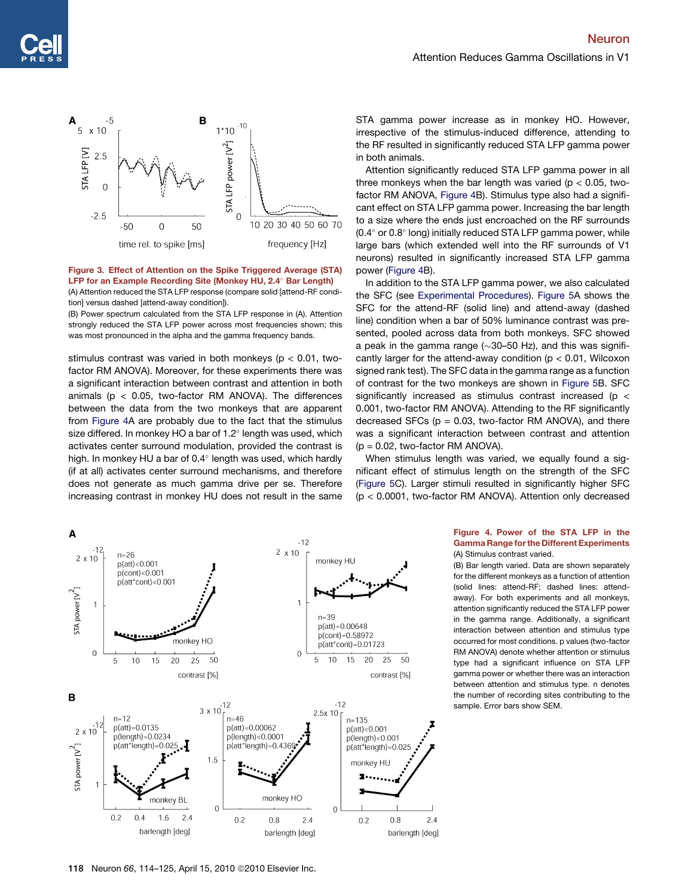<span id="page-5-0"></span>

Figure 3. Effect of Attention on the Spike Triggered Average (STA) LFP for an Example Recording Site (Monkey HU, 2.4° Bar Length) (A) Attention reduced the STA LFP response (compare solid [attend-RF condition] versus dashed [attend-away condition]).

(B) Power spectrum calculated from the STA LFP response in (A). Attention strongly reduced the STA LFP power across most frequencies shown; this was most pronounced in the alpha and the gamma frequency bands.

stimulus contrast was varied in both monkeys ( $p < 0.01$ , twofactor RM ANOVA). Moreover, for these experiments there was a significant interaction between contrast and attention in both animals ( $p < 0.05$ , two-factor RM ANOVA). The differences between the data from the two monkeys that are apparent from Figure 4A are probably due to the fact that the stimulus size differed. In monkey HO a bar of 1.2° length was used, which activates center surround modulation, provided the contrast is high. In monkey HU a bar of 0.4° length was used, which hardly (if at all) activates center surround mechanisms, and therefore does not generate as much gamma drive per se. Therefore increasing contrast in monkey HU does not result in the same

STA gamma power increase as in monkey HO. However, irrespective of the stimulus-induced difference, attending to the RF resulted in significantly reduced STA LFP gamma power in both animals.

Attention significantly reduced STA LFP gamma power in all three monkeys when the bar length was varied ( $p < 0.05$ , twofactor RM ANOVA, Figure 4B). Stimulus type also had a significant effect on STA LFP gamma power. Increasing the bar length to a size where the ends just encroached on the RF surrounds  $(0.4^{\circ}$  or  $0.8^{\circ}$  long) initially reduced STA LFP gamma power, while large bars (which extended well into the RF surrounds of V1 neurons) resulted in significantly increased STA LFP gamma power (Figure 4B).

In addition to the STA LFP gamma power, we also calculated the SFC (see [Experimental Procedures\)](#page-10-0). [Figure 5](#page-6-0)A shows the SFC for the attend-RF (solid line) and attend-away (dashed line) condition when a bar of 50% luminance contrast was presented, pooled across data from both monkeys. SFC showed a peak in the gamma range  $(\sim]30-50$  Hz), and this was significantly larger for the attend-away condition ( $p < 0.01$ , Wilcoxon signed rank test). The SFC data in the gamma range as a function of contrast for the two monkeys are shown in [Figure 5](#page-6-0)B. SFC significantly increased as stimulus contrast increased (p < 0.001, two-factor RM ANOVA). Attending to the RF significantly decreased SFCs ( $p = 0.03$ , two-factor RM ANOVA), and there was a significant interaction between contrast and attention  $(p = 0.02,$  two-factor RM ANOVA).

When stimulus length was varied, we equally found a significant effect of stimulus length on the strength of the SFC [\(Figure 5C](#page-6-0)). Larger stimuli resulted in significantly higher SFC (p < 0.0001, two-factor RM ANOVA). Attention only decreased

#### Figure 4. Power of the STA LFP in the Gamma Range for the Different Experiments (A) Stimulus contrast varied.

(B) Bar length varied. Data are shown separately for the different monkeys as a function of attention (solid lines: attend-RF; dashed lines: attendaway). For both experiments and all monkeys, attention significantly reduced the STA LFP power in the gamma range. Additionally, a significant interaction between attention and stimulus type occurred for most conditions. p values (two-factor RM ANOVA) denote whether attention or stimulus type had a significant influence on STA LFP gamma power or whether there was an interaction between attention and stimulus type. n denotes the number of recording sites contributing to the sample. Error bars show SEM.



118 Neuron 66, 114-125, April 15, 2010 ©2010 Elsevier Inc.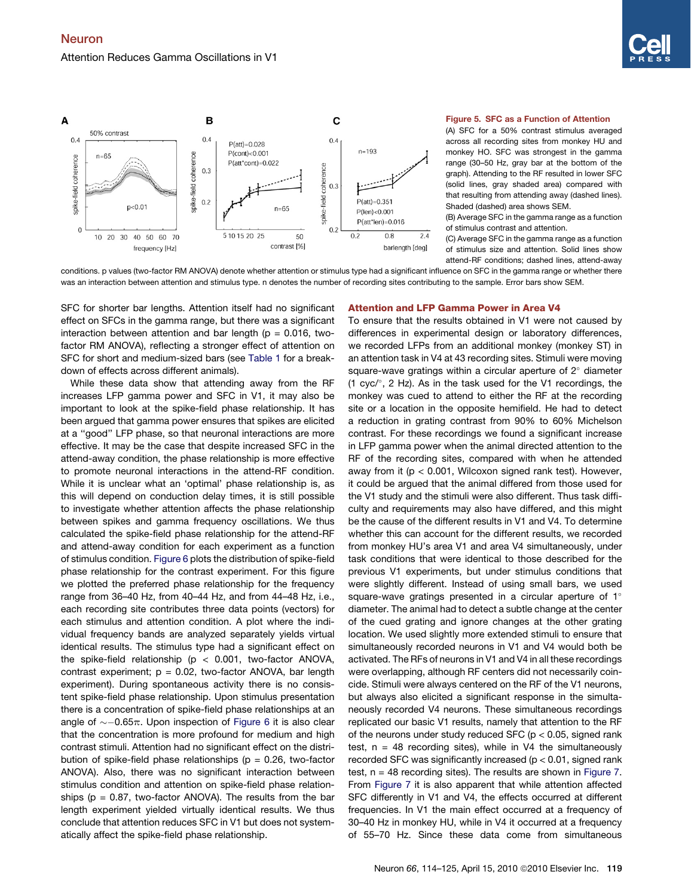<span id="page-6-0"></span>

#### Figure 5. SFC as a Function of Attention

(A) SFC for a 50% contrast stimulus averaged across all recording sites from monkey HU and monkey HO. SFC was strongest in the gamma range (30–50 Hz, gray bar at the bottom of the graph). Attending to the RF resulted in lower SFC (solid lines, gray shaded area) compared with that resulting from attending away (dashed lines). Shaded (dashed) area shows SEM.

(B) Average SFC in the gamma range as a function of stimulus contrast and attention.

(C) Average SFC in the gamma range as a function of stimulus size and attention. Solid lines show attend-RF conditions; dashed lines, attend-away

conditions. p values (two-factor RM ANOVA) denote whether attention or stimulus type had a significant influence on SFC in the gamma range or whether there was an interaction between attention and stimulus type. n denotes the number of recording sites contributing to the sample. Error bars show SEM.

SFC for shorter bar lengths. Attention itself had no significant effect on SFCs in the gamma range, but there was a significant interaction between attention and bar length ( $p = 0.016$ , twofactor RM ANOVA), reflecting a stronger effect of attention on SFC for short and medium-sized bars (see [Table 1](#page-4-0) for a breakdown of effects across different animals).

While these data show that attending away from the RF increases LFP gamma power and SFC in V1, it may also be important to look at the spike-field phase relationship. It has been argued that gamma power ensures that spikes are elicited at a ''good'' LFP phase, so that neuronal interactions are more effective. It may be the case that despite increased SFC in the attend-away condition, the phase relationship is more effective to promote neuronal interactions in the attend-RF condition. While it is unclear what an 'optimal' phase relationship is, as this will depend on conduction delay times, it is still possible to investigate whether attention affects the phase relationship between spikes and gamma frequency oscillations. We thus calculated the spike-field phase relationship for the attend-RF and attend-away condition for each experiment as a function of stimulus condition. [Figure 6](#page-7-0) plots the distribution of spike-field phase relationship for the contrast experiment. For this figure we plotted the preferred phase relationship for the frequency range from 36–40 Hz, from 40–44 Hz, and from 44–48 Hz, i.e., each recording site contributes three data points (vectors) for each stimulus and attention condition. A plot where the individual frequency bands are analyzed separately yields virtual identical results. The stimulus type had a significant effect on the spike-field relationship ( $p < 0.001$ , two-factor ANOVA, contrast experiment;  $p = 0.02$ , two-factor ANOVA, bar length experiment). During spontaneous activity there is no consistent spike-field phase relationship. Upon stimulus presentation there is a concentration of spike-field phase relationships at an angle of  $\sim$  -0.65 $\pi$ . Upon inspection of [Figure 6](#page-7-0) it is also clear that the concentration is more profound for medium and high contrast stimuli. Attention had no significant effect on the distribution of spike-field phase relationships ( $p = 0.26$ , two-factor ANOVA). Also, there was no significant interaction between stimulus condition and attention on spike-field phase relationships ( $p = 0.87$ , two-factor ANOVA). The results from the bar length experiment yielded virtually identical results. We thus conclude that attention reduces SFC in V1 but does not systematically affect the spike-field phase relationship.

#### Attention and LFP Gamma Power in Area V4

To ensure that the results obtained in V1 were not caused by differences in experimental design or laboratory differences, we recorded LFPs from an additional monkey (monkey ST) in an attention task in V4 at 43 recording sites. Stimuli were moving square-wave gratings within a circular aperture of  $2^{\circ}$  diameter (1 cyc/°, 2 Hz). As in the task used for the V1 recordings, the monkey was cued to attend to either the RF at the recording site or a location in the opposite hemifield. He had to detect a reduction in grating contrast from 90% to 60% Michelson contrast. For these recordings we found a significant increase in LFP gamma power when the animal directed attention to the RF of the recording sites, compared with when he attended away from it (p < 0.001, Wilcoxon signed rank test). However, it could be argued that the animal differed from those used for the V1 study and the stimuli were also different. Thus task difficulty and requirements may also have differed, and this might be the cause of the different results in V1 and V4. To determine whether this can account for the different results, we recorded from monkey HU's area V1 and area V4 simultaneously, under task conditions that were identical to those described for the previous V1 experiments, but under stimulus conditions that were slightly different. Instead of using small bars, we used square-wave gratings presented in a circular aperture of 1 $^{\circ}$ diameter. The animal had to detect a subtle change at the center of the cued grating and ignore changes at the other grating location. We used slightly more extended stimuli to ensure that simultaneously recorded neurons in V1 and V4 would both be activated. The RFs of neurons in V1 and V4 in all these recordings were overlapping, although RF centers did not necessarily coincide. Stimuli were always centered on the RF of the V1 neurons, but always also elicited a significant response in the simultaneously recorded V4 neurons. These simultaneous recordings replicated our basic V1 results, namely that attention to the RF of the neurons under study reduced SFC ( $p < 0.05$ , signed rank test,  $n = 48$  recording sites), while in V4 the simultaneously recorded SFC was significantly increased ( $p < 0.01$ , signed rank test,  $n = 48$  recording sites). The results are shown in [Figure 7.](#page-8-0) From [Figure 7](#page-8-0) it is also apparent that while attention affected SFC differently in V1 and V4, the effects occurred at different frequencies. In V1 the main effect occurred at a frequency of 30–40 Hz in monkey HU, while in V4 it occurred at a frequency of 55–70 Hz. Since these data come from simultaneous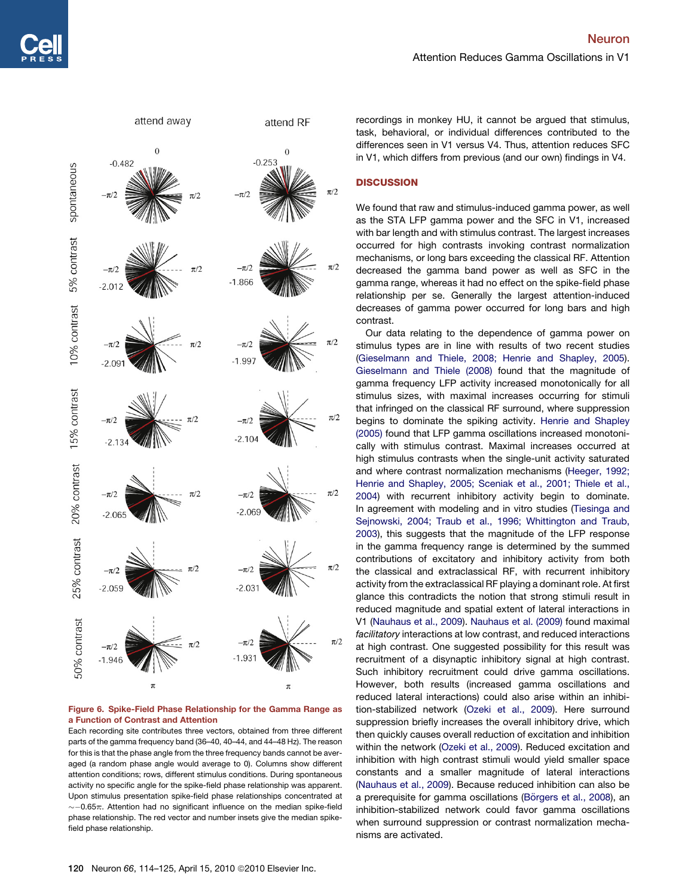<span id="page-7-0"></span>

#### Figure 6. Spike-Field Phase Relationship for the Gamma Range as a Function of Contrast and Attention

Each recording site contributes three vectors, obtained from three different parts of the gamma frequency band (36–40, 40–44, and 44–48 Hz). The reason for this is that the phase angle from the three frequency bands cannot be averaged (a random phase angle would average to 0). Columns show different attention conditions; rows, different stimulus conditions. During spontaneous activity no specific angle for the spike-field phase relationship was apparent. Upon stimulus presentation spike-field phase relationships concentrated at  $\sim$ -0.65 $\pi$ . Attention had no significant influence on the median spike-field phase relationship. The red vector and number insets give the median spikefield phase relationship.

recordings in monkey HU, it cannot be argued that stimulus, task, behavioral, or individual differences contributed to the differences seen in V1 versus V4. Thus, attention reduces SFC in V1, which differs from previous (and our own) findings in V4.

### **DISCUSSION**

We found that raw and stimulus-induced gamma power, as well as the STA LFP gamma power and the SFC in V1, increased with bar length and with stimulus contrast. The largest increases occurred for high contrasts invoking contrast normalization mechanisms, or long bars exceeding the classical RF. Attention decreased the gamma band power as well as SFC in the gamma range, whereas it had no effect on the spike-field phase relationship per se. Generally the largest attention-induced decreases of gamma power occurred for long bars and high contrast.

Our data relating to the dependence of gamma power on stimulus types are in line with results of two recent studies [\(Gieselmann and Thiele, 2008; Henrie and Shapley, 2005](#page-11-0)). [Gieselmann and Thiele \(2008\)](#page-11-0) found that the magnitude of gamma frequency LFP activity increased monotonically for all stimulus sizes, with maximal increases occurring for stimuli that infringed on the classical RF surround, where suppression begins to dominate the spiking activity. [Henrie and Shapley](#page-11-0) [\(2005\)](#page-11-0) found that LFP gamma oscillations increased monotonically with stimulus contrast. Maximal increases occurred at high stimulus contrasts when the single-unit activity saturated and where contrast normalization mechanisms ([Heeger, 1992;](#page-11-0) [Henrie and Shapley, 2005; Sceniak et al., 2001; Thiele et al.,](#page-11-0) [2004\)](#page-11-0) with recurrent inhibitory activity begin to dominate. In agreement with modeling and in vitro studies ([Tiesinga and](#page-12-0) [Sejnowski, 2004; Traub et al., 1996; Whittington and Traub,](#page-12-0) [2003\)](#page-12-0), this suggests that the magnitude of the LFP response in the gamma frequency range is determined by the summed contributions of excitatory and inhibitory activity from both the classical and extraclassical RF, with recurrent inhibitory activity from the extraclassical RF playing a dominant role. At first glance this contradicts the notion that strong stimuli result in reduced magnitude and spatial extent of lateral interactions in V1 [\(Nauhaus et al., 2009\)](#page-11-0). [Nauhaus et al. \(2009\)](#page-11-0) found maximal *facilitatory* interactions at low contrast, and reduced interactions at high contrast. One suggested possibility for this result was recruitment of a disynaptic inhibitory signal at high contrast. Such inhibitory recruitment could drive gamma oscillations. However, both results (increased gamma oscillations and reduced lateral interactions) could also arise within an inhibition-stabilized network ([Ozeki et al., 2009](#page-12-0)). Here surround suppression briefly increases the overall inhibitory drive, which then quickly causes overall reduction of excitation and inhibition within the network ([Ozeki et al., 2009](#page-12-0)). Reduced excitation and inhibition with high contrast stimuli would yield smaller space constants and a smaller magnitude of lateral interactions [\(Nauhaus et al., 2009\)](#page-11-0). Because reduced inhibition can also be a prerequisite for gamma oscillations (Bö[rgers et al., 2008](#page-11-0)), an inhibition-stabilized network could favor gamma oscillations when surround suppression or contrast normalization mechanisms are activated.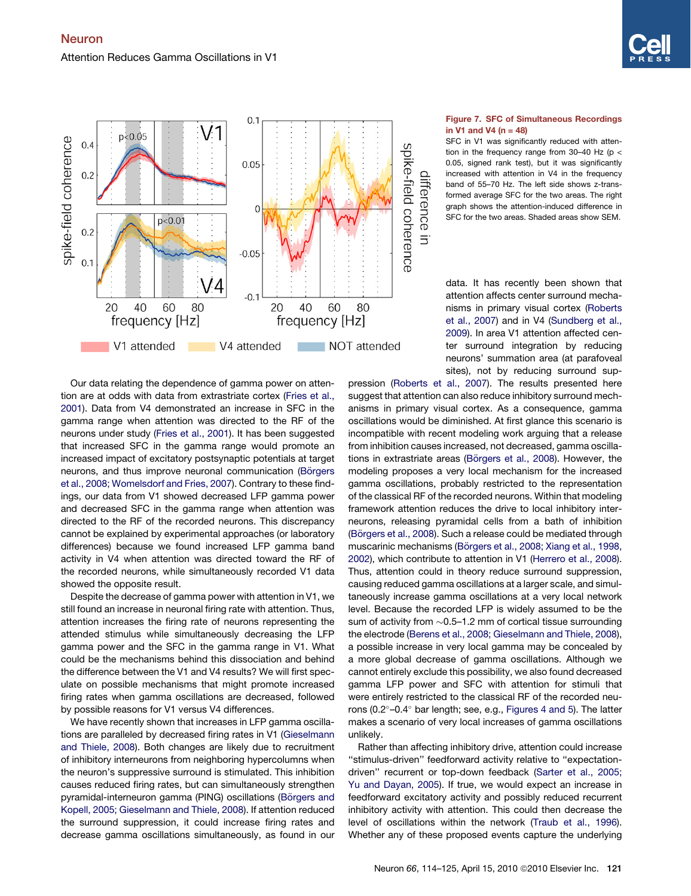<span id="page-8-0"></span>

Our data relating the dependence of gamma power on attention are at odds with data from extrastriate cortex ([Fries et al.,](#page-11-0) [2001\)](#page-11-0). Data from V4 demonstrated an increase in SFC in the gamma range when attention was directed to the RF of the neurons under study [\(Fries et al., 2001\)](#page-11-0). It has been suggested that increased SFC in the gamma range would promote an increased impact of excitatory postsynaptic potentials at target neurons, and thus improve neuronal communication (Bö[rgers](#page-11-0) [et al., 2008; Womelsdorf and Fries, 2007](#page-11-0)). Contrary to these findings, our data from V1 showed decreased LFP gamma power and decreased SFC in the gamma range when attention was directed to the RF of the recorded neurons. This discrepancy cannot be explained by experimental approaches (or laboratory differences) because we found increased LFP gamma band activity in V4 when attention was directed toward the RF of the recorded neurons, while simultaneously recorded V1 data showed the opposite result.

Despite the decrease of gamma power with attention in V1, we still found an increase in neuronal firing rate with attention. Thus, attention increases the firing rate of neurons representing the attended stimulus while simultaneously decreasing the LFP gamma power and the SFC in the gamma range in V1. What could be the mechanisms behind this dissociation and behind the difference between the V1 and V4 results? We will first speculate on possible mechanisms that might promote increased firing rates when gamma oscillations are decreased, followed by possible reasons for V1 versus V4 differences.

We have recently shown that increases in LFP gamma oscillations are paralleled by decreased firing rates in V1 [\(Gieselmann](#page-11-0) [and Thiele, 2008\)](#page-11-0). Both changes are likely due to recruitment of inhibitory interneurons from neighboring hypercolumns when the neuron's suppressive surround is stimulated. This inhibition causes reduced firing rates, but can simultaneously strengthen pyramidal-interneuron gamma (PING) oscillations (Bö[rgers and](#page-11-0) [Kopell, 2005; Gieselmann and Thiele, 2008\)](#page-11-0). If attention reduced the surround suppression, it could increase firing rates and decrease gamma oscillations simultaneously, as found in our

#### Figure 7. SFC of Simultaneous Recordings in V1 and V4 ( $n = 48$ )

SFC in V1 was significantly reduced with attention in the frequency range from 30-40 Hz ( $p <$ 0.05, signed rank test), but it was significantly increased with attention in V4 in the frequency band of 55–70 Hz. The left side shows z-transformed average SFC for the two areas. The right graph shows the attention-induced difference in SFC for the two areas. Shaded areas show SEM.

data. It has recently been shown that attention affects center surround mechanisms in primary visual cortex [\(Roberts](#page-12-0) [et al., 2007](#page-12-0)) and in V4 [\(Sundberg et al.,](#page-12-0) [2009](#page-12-0)). In area V1 attention affected center surround integration by reducing neurons' summation area (at parafoveal sites), not by reducing surround sup-

pression ([Roberts et al., 2007](#page-12-0)). The results presented here suggest that attention can also reduce inhibitory surround mechanisms in primary visual cortex. As a consequence, gamma oscillations would be diminished. At first glance this scenario is incompatible with recent modeling work arguing that a release from inhibition causes increased, not decreased, gamma oscillations in extrastriate areas (Bö[rgers et al., 2008](#page-11-0)). However, the modeling proposes a very local mechanism for the increased gamma oscillations, probably restricted to the representation of the classical RF of the recorded neurons. Within that modeling framework attention reduces the drive to local inhibitory interneurons, releasing pyramidal cells from a bath of inhibition (Bö[rgers et al., 2008](#page-11-0)). Such a release could be mediated through muscarinic mechanisms (Bö[rgers et al., 2008; Xiang et al., 1998,](#page-11-0) [2002\)](#page-11-0), which contribute to attention in V1 [\(Herrero et al., 2008\)](#page-11-0). Thus, attention could in theory reduce surround suppression, causing reduced gamma oscillations at a larger scale, and simultaneously increase gamma oscillations at a very local network level. Because the recorded LFP is widely assumed to be the sum of activity from  $\sim$  0.5–1.2 mm of cortical tissue surrounding the electrode [\(Berens et al., 2008; Gieselmann and Thiele, 2008\)](#page-11-0), a possible increase in very local gamma may be concealed by a more global decrease of gamma oscillations. Although we cannot entirely exclude this possibility, we also found decreased gamma LFP power and SFC with attention for stimuli that were entirely restricted to the classical RF of the recorded neu-rons (0.2°–0.4° bar length; see, e.g., [Figures 4 and 5\)](#page-5-0). The latter makes a scenario of very local increases of gamma oscillations unlikely.

Rather than affecting inhibitory drive, attention could increase ''stimulus-driven'' feedforward activity relative to ''expectationdriven'' recurrent or top-down feedback [\(Sarter et al., 2005;](#page-12-0) [Yu and Dayan, 2005](#page-12-0)). If true, we would expect an increase in feedforward excitatory activity and possibly reduced recurrent inhibitory activity with attention. This could then decrease the level of oscillations within the network ([Traub et al., 1996\)](#page-12-0). Whether any of these proposed events capture the underlying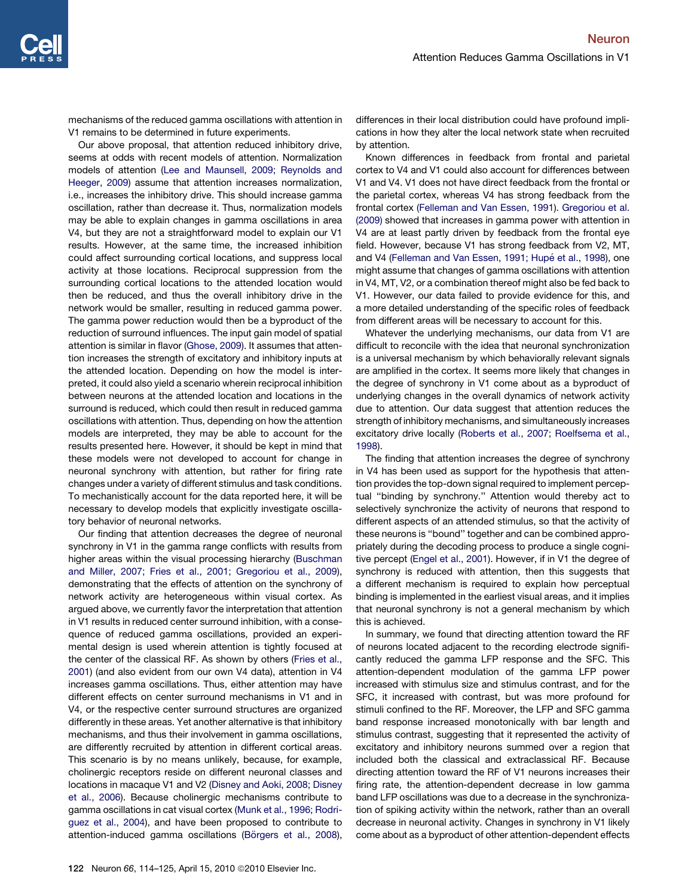mechanisms of the reduced gamma oscillations with attention in V1 remains to be determined in future experiments.

Our above proposal, that attention reduced inhibitory drive, seems at odds with recent models of attention. Normalization models of attention ([Lee and Maunsell, 2009; Reynolds and](#page-11-0) [Heeger, 2009](#page-11-0)) assume that attention increases normalization, i.e., increases the inhibitory drive. This should increase gamma oscillation, rather than decrease it. Thus, normalization models may be able to explain changes in gamma oscillations in area V4, but they are not a straightforward model to explain our V1 results. However, at the same time, the increased inhibition could affect surrounding cortical locations, and suppress local activity at those locations. Reciprocal suppression from the surrounding cortical locations to the attended location would then be reduced, and thus the overall inhibitory drive in the network would be smaller, resulting in reduced gamma power. The gamma power reduction would then be a byproduct of the reduction of surround influences. The input gain model of spatial attention is similar in flavor ([Ghose, 2009\)](#page-11-0). It assumes that attention increases the strength of excitatory and inhibitory inputs at the attended location. Depending on how the model is interpreted, it could also yield a scenario wherein reciprocal inhibition between neurons at the attended location and locations in the surround is reduced, which could then result in reduced gamma oscillations with attention. Thus, depending on how the attention models are interpreted, they may be able to account for the results presented here. However, it should be kept in mind that these models were not developed to account for change in neuronal synchrony with attention, but rather for firing rate changes under a variety of different stimulus and task conditions. To mechanistically account for the data reported here, it will be necessary to develop models that explicitly investigate oscillatory behavior of neuronal networks.

Our finding that attention decreases the degree of neuronal synchrony in V1 in the gamma range conflicts with results from higher areas within the visual processing hierarchy [\(Buschman](#page-11-0) [and Miller, 2007; Fries et al., 2001; Gregoriou et al., 2009](#page-11-0)), demonstrating that the effects of attention on the synchrony of network activity are heterogeneous within visual cortex. As argued above, we currently favor the interpretation that attention in V1 results in reduced center surround inhibition, with a consequence of reduced gamma oscillations, provided an experimental design is used wherein attention is tightly focused at the center of the classical RF. As shown by others ([Fries et al.,](#page-11-0) [2001](#page-11-0)) (and also evident from our own V4 data), attention in V4 increases gamma oscillations. Thus, either attention may have different effects on center surround mechanisms in V1 and in V4, or the respective center surround structures are organized differently in these areas. Yet another alternative is that inhibitory mechanisms, and thus their involvement in gamma oscillations, are differently recruited by attention in different cortical areas. This scenario is by no means unlikely, because, for example, cholinergic receptors reside on different neuronal classes and locations in macaque V1 and V2 ([Disney and Aoki, 2008; Disney](#page-11-0) [et al., 2006](#page-11-0)). Because cholinergic mechanisms contribute to gamma oscillations in cat visual cortex [\(Munk et al., 1996; Rodri](#page-11-0)[guez et al., 2004\)](#page-11-0), and have been proposed to contribute to attention-induced gamma oscillations (Bö[rgers et al., 2008](#page-11-0)),

differences in their local distribution could have profound implications in how they alter the local network state when recruited by attention.

Known differences in feedback from frontal and parietal cortex to V4 and V1 could also account for differences between V1 and V4. V1 does not have direct feedback from the frontal or the parietal cortex, whereas V4 has strong feedback from the frontal cortex [\(Felleman and Van Essen, 1991\)](#page-11-0). [Gregoriou et al.](#page-11-0) [\(2009\)](#page-11-0) showed that increases in gamma power with attention in V4 are at least partly driven by feedback from the frontal eye field. However, because V1 has strong feedback from V2, MT, and V4 (Felleman and Van Essen, 1991; Hupé et al., 1998), one might assume that changes of gamma oscillations with attention in V4, MT, V2, or a combination thereof might also be fed back to V1. However, our data failed to provide evidence for this, and a more detailed understanding of the specific roles of feedback from different areas will be necessary to account for this.

Whatever the underlying mechanisms, our data from V1 are difficult to reconcile with the idea that neuronal synchronization is a universal mechanism by which behaviorally relevant signals are amplified in the cortex. It seems more likely that changes in the degree of synchrony in V1 come about as a byproduct of underlying changes in the overall dynamics of network activity due to attention. Our data suggest that attention reduces the strength of inhibitory mechanisms, and simultaneously increases excitatory drive locally [\(Roberts et al., 2007; Roelfsema et al.,](#page-12-0) [1998\)](#page-12-0).

The finding that attention increases the degree of synchrony in V4 has been used as support for the hypothesis that attention provides the top-down signal required to implement perceptual ''binding by synchrony.'' Attention would thereby act to selectively synchronize the activity of neurons that respond to different aspects of an attended stimulus, so that the activity of these neurons is ''bound'' together and can be combined appropriately during the decoding process to produce a single cognitive percept [\(Engel et al., 2001](#page-11-0)). However, if in V1 the degree of synchrony is reduced with attention, then this suggests that a different mechanism is required to explain how perceptual binding is implemented in the earliest visual areas, and it implies that neuronal synchrony is not a general mechanism by which this is achieved.

In summary, we found that directing attention toward the RF of neurons located adjacent to the recording electrode significantly reduced the gamma LFP response and the SFC. This attention-dependent modulation of the gamma LFP power increased with stimulus size and stimulus contrast, and for the SFC, it increased with contrast, but was more profound for stimuli confined to the RF. Moreover, the LFP and SFC gamma band response increased monotonically with bar length and stimulus contrast, suggesting that it represented the activity of excitatory and inhibitory neurons summed over a region that included both the classical and extraclassical RF. Because directing attention toward the RF of V1 neurons increases their firing rate, the attention-dependent decrease in low gamma band LFP oscillations was due to a decrease in the synchronization of spiking activity within the network, rather than an overall decrease in neuronal activity. Changes in synchrony in V1 likely come about as a byproduct of other attention-dependent effects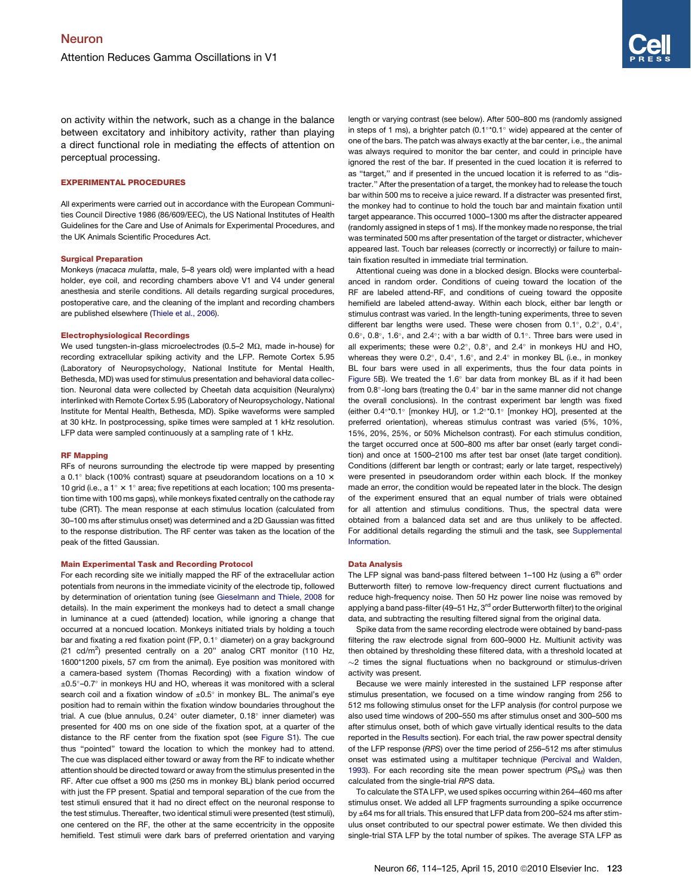<span id="page-10-0"></span>on activity within the network, such as a change in the balance between excitatory and inhibitory activity, rather than playing a direct functional role in mediating the effects of attention on perceptual processing.

#### EXPERIMENTAL PROCEDURES

All experiments were carried out in accordance with the European Communities Council Directive 1986 (86/609/EEC), the US National Institutes of Health Guidelines for the Care and Use of Animals for Experimental Procedures, and the UK Animals Scientific Procedures Act.

#### Surgical Preparation

Monkeys (*macaca mulatta*, male, 5–8 years old) were implanted with a head holder, eye coil, and recording chambers above V1 and V4 under general anesthesia and sterile conditions. All details regarding surgical procedures, postoperative care, and the cleaning of the implant and recording chambers are published elsewhere ([Thiele et al., 2006\)](#page-12-0).

#### Electrophysiological Recordings

We used tungsten-in-glass microelectrodes (0.5–2 M $\Omega$ , made in-house) for recording extracellular spiking activity and the LFP. Remote Cortex 5.95 (Laboratory of Neuropsychology, National Institute for Mental Health, Bethesda, MD) was used for stimulus presentation and behavioral data collection. Neuronal data were collected by Cheetah data acquisition (Neuralynx) interlinked with Remote Cortex 5.95 (Laboratory of Neuropsychology, National Institute for Mental Health, Bethesda, MD). Spike waveforms were sampled at 30 kHz. In postprocessing, spike times were sampled at 1 kHz resolution. LFP data were sampled continuously at a sampling rate of 1 kHz.

#### RF Mapping

RFs of neurons surrounding the electrode tip were mapped by presenting a 0.1 $^{\circ}$  black (100% contrast) square at pseudorandom locations on a 10  $\times$ 10 grid (i.e., a  $1^\circ \times 1^\circ$  area; five repetitions at each location; 100 ms presentation time with 100 ms gaps), while monkeys fixated centrally on the cathode ray tube (CRT). The mean response at each stimulus location (calculated from 30–100 ms after stimulus onset) was determined and a 2D Gaussian was fitted to the response distribution. The RF center was taken as the location of the peak of the fitted Gaussian.

#### Main Experimental Task and Recording Protocol

For each recording site we initially mapped the RF of the extracellular action potentials from neurons in the immediate vicinity of the electrode tip, followed by determination of orientation tuning (see [Gieselmann and Thiele, 2008](#page-11-0) for details). In the main experiment the monkeys had to detect a small change in luminance at a cued (attended) location, while ignoring a change that occurred at a noncued location. Monkeys initiated trials by holding a touch bar and fixating a red fixation point (FP, 0.1° diameter) on a gray background  $(21 \text{ cd/m}^2)$  presented centrally on a 20" analog CRT monitor (110 Hz, 1600\*1200 pixels, 57 cm from the animal). Eye position was monitored with a camera-based system (Thomas Recording) with a fixation window of ±0.5-–0.7- in monkeys HU and HO, whereas it was monitored with a scleral search coil and a fixation window of  $\pm 0.5^{\circ}$  in monkey BL. The animal's eye position had to remain within the fixation window boundaries throughout the trial. A cue (blue annulus, 0.24 $^{\circ}$  outer diameter, 0.18 $^{\circ}$  inner diameter) was presented for 400 ms on one side of the fixation spot, at a quarter of the distance to the RF center from the fixation spot (see [Figure S1](#page-11-0)). The cue thus ''pointed'' toward the location to which the monkey had to attend. The cue was displaced either toward or away from the RF to indicate whether attention should be directed toward or away from the stimulus presented in the RF. After cue offset a 900 ms (250 ms in monkey BL) blank period occurred with just the FP present. Spatial and temporal separation of the cue from the test stimuli ensured that it had no direct effect on the neuronal response to the test stimulus. Thereafter, two identical stimuli were presented (test stimuli), one centered on the RF, the other at the same eccentricity in the opposite hemifield. Test stimuli were dark bars of preferred orientation and varying

length or varying contrast (see below). After 500–800 ms (randomly assigned in steps of 1 ms), a brighter patch (0.1 $\degree$ \*0.1 $\degree$  wide) appeared at the center of one of the bars. The patch was always exactly at the bar center, i.e., the animal was always required to monitor the bar center, and could in principle have ignored the rest of the bar. If presented in the cued location it is referred to as "target," and if presented in the uncued location it is referred to as "distracter.'' After the presentation of a target, the monkey had to release the touch bar within 500 ms to receive a juice reward. If a distracter was presented first, the monkey had to continue to hold the touch bar and maintain fixation until target appearance. This occurred 1000–1300 ms after the distracter appeared (randomly assigned in steps of 1 ms). If the monkey made no response, the trial was terminated 500 ms after presentation of the target or distracter, whichever appeared last. Touch bar releases (correctly or incorrectly) or failure to maintain fixation resulted in immediate trial termination.

Attentional cueing was done in a blocked design. Blocks were counterbalanced in random order. Conditions of cueing toward the location of the RF are labeled attend-RF, and conditions of cueing toward the opposite hemifield are labeled attend-away. Within each block, either bar length or stimulus contrast was varied. In the length-tuning experiments, three to seven different bar lengths were used. These were chosen from  $0.1^{\circ}$ ,  $0.2^{\circ}$ ,  $0.4^{\circ}$ , 0.6°, 0.8°, 1.6°, and 2.4°; with a bar width of 0.1°. Three bars were used in all experiments; these were  $0.2^{\circ}$ ,  $0.8^{\circ}$ , and  $2.4^{\circ}$  in monkeys HU and HO, whereas they were 0.2 $^{\circ}$ , 0.4 $^{\circ}$ , 1.6 $^{\circ}$ , and 2.4 $^{\circ}$  in monkey BL (i.e., in monkey BL four bars were used in all experiments, thus the four data points in [Figure 5](#page-6-0)B). We treated the 1.6 $^{\circ}$  bar data from monkey BL as if it had been from 0.8 $^{\circ}$ -long bars (treating the 0.4 $^{\circ}$  bar in the same manner did not change the overall conclusions). In the contrast experiment bar length was fixed (either 0.4°\*0.1° [monkey HU], or 1.2°\*0.1° [monkey HO], presented at the preferred orientation), whereas stimulus contrast was varied (5%, 10%, 15%, 20%, 25%, or 50% Michelson contrast). For each stimulus condition, the target occurred once at 500–800 ms after bar onset (early target condition) and once at 1500–2100 ms after test bar onset (late target condition). Conditions (different bar length or contrast; early or late target, respectively) were presented in pseudorandom order within each block. If the monkey made an error, the condition would be repeated later in the block. The design of the experiment ensured that an equal number of trials were obtained for all attention and stimulus conditions. Thus, the spectral data were obtained from a balanced data set and are thus unlikely to be affected. For additional details regarding the stimuli and the task, see [Supplemental](#page-11-0) [Information.](#page-11-0)

#### Data Analysis

The LFP signal was band-pass filtered between  $1-100$  Hz (using a  $6<sup>th</sup>$  order Butterworth filter) to remove low-frequency direct current fluctuations and reduce high-frequency noise. Then 50 Hz power line noise was removed by applying a band pass-filter (49-51 Hz, 3<sup>rd</sup> order Butterworth filter) to the original data, and subtracting the resulting filtered signal from the original data.

Spike data from the same recording electrode were obtained by band-pass filtering the raw electrode signal from 600–9000 Hz. Multiunit activity was then obtained by thresholding these filtered data, with a threshold located at  $\sim$ 2 times the signal fluctuations when no background or stimulus-driven activity was present.

Because we were mainly interested in the sustained LFP response after stimulus presentation, we focused on a time window ranging from 256 to 512 ms following stimulus onset for the LFP analysis (for control purpose we also used time windows of 200–550 ms after stimulus onset and 300–500 ms after stimulus onset, both of which gave virtually identical results to the data reported in the [Results](#page-1-0) section). For each trial, the raw power spectral density of the LFP response (*RPS*) over the time period of 256–512 ms after stimulus onset was estimated using a multitaper technique [\(Percival and Walden,](#page-12-0) [1993\)](#page-12-0). For each recording site the mean power spectrum (PS<sub>M</sub>) was then calculated from the single-trial *RPS* data.

To calculate the STA LFP, we used spikes occurring within 264–460 ms after stimulus onset. We added all LFP fragments surrounding a spike occurrence by ±64 ms for all trials. This ensured that LFP data from 200–524 ms after stimulus onset contributed to our spectral power estimate. We then divided this single-trial STA LFP by the total number of spikes. The average STA LFP as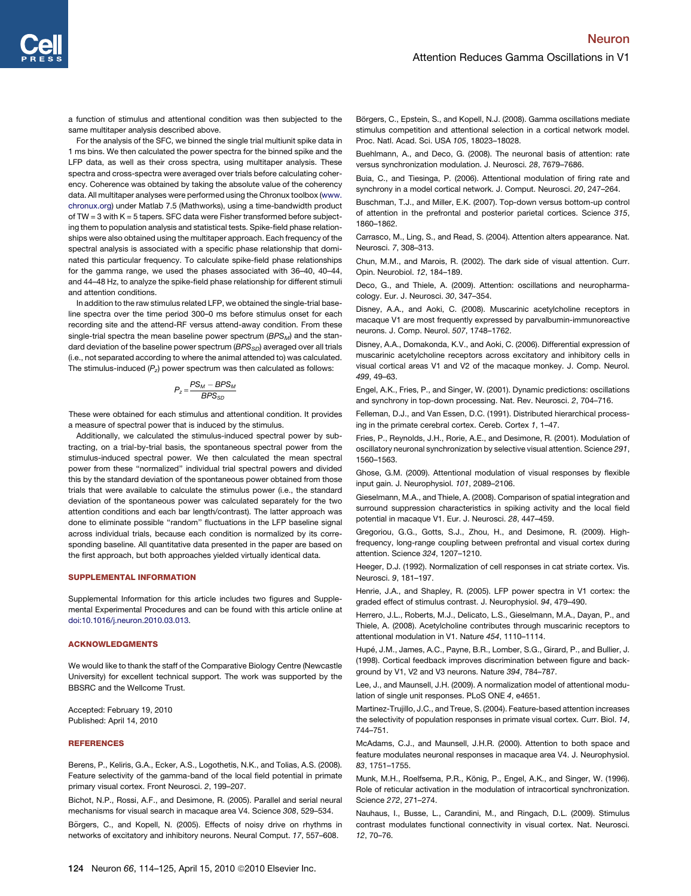<span id="page-11-0"></span>a function of stimulus and attentional condition was then subjected to the same multitaper analysis described above.

For the analysis of the SFC, we binned the single trial multiunit spike data in 1 ms bins. We then calculated the power spectra for the binned spike and the LFP data, as well as their cross spectra, using multitaper analysis. These spectra and cross-spectra were averaged over trials before calculating coherency. Coherence was obtained by taking the absolute value of the coherency data. All multitaper analyses were performed using the Chronux toolbox ([www.](http://www.chronux.org) [chronux.org](http://www.chronux.org)) under Matlab 7.5 (Mathworks), using a time-bandwidth product of TW = 3 with K = 5 tapers. SFC data were Fisher transformed before subjecting them to population analysis and statistical tests. Spike-field phase relationships were also obtained using the multitaper approach. Each frequency of the spectral analysis is associated with a specific phase relationship that dominated this particular frequency. To calculate spike-field phase relationships for the gamma range, we used the phases associated with 36–40, 40–44, and 44–48 Hz, to analyze the spike-field phase relationship for different stimuli and attention conditions.

In addition to the raw stimulus related LFP, we obtained the single-trial baseline spectra over the time period 300–0 ms before stimulus onset for each recording site and the attend-RF versus attend-away condition. From these single-trial spectra the mean baseline power spectrum (BPS<sub>M</sub>) and the standard deviation of the baseline power spectrum (BPS<sub>SD</sub>) averaged over all trials (i.e., not separated according to where the animal attended to) was calculated. The stimulus-induced (*Pz*) power spectrum was then calculated as follows:

$$
P_z = \frac{PS_M - BPS_M}{BPS_{SD}}
$$

These were obtained for each stimulus and attentional condition. It provides a measure of spectral power that is induced by the stimulus.

Additionally, we calculated the stimulus-induced spectral power by subtracting, on a trial-by-trial basis, the spontaneous spectral power from the stimulus-induced spectral power. We then calculated the mean spectral power from these ''normalized'' individual trial spectral powers and divided this by the standard deviation of the spontaneous power obtained from those trials that were available to calculate the stimulus power (i.e., the standard deviation of the spontaneous power was calculated separately for the two attention conditions and each bar length/contrast). The latter approach was done to eliminate possible ''random'' fluctuations in the LFP baseline signal across individual trials, because each condition is normalized by its corresponding baseline. All quantitative data presented in the paper are based on the first approach, but both approaches yielded virtually identical data.

#### SUPPLEMENTAL INFORMATION

Supplemental Information for this article includes two figures and Supplemental Experimental Procedures and can be found with this article online at [doi:10.1016/j.neuron.2010.03.013.](http://dx.doi.org/doi:10.1016/j.neuron.2010.03.013)

#### ACKNOWLEDGMENTS

We would like to thank the staff of the Comparative Biology Centre (Newcastle University) for excellent technical support. The work was supported by the BBSRC and the Wellcome Trust.

Accepted: February 19, 2010 Published: April 14, 2010

#### **REFERENCES**

Berens, P., Keliris, G.A., Ecker, A.S., Logothetis, N.K., and Tolias, A.S. (2008). Feature selectivity of the gamma-band of the local field potential in primate primary visual cortex. Front Neurosci. *2*, 199–207.

Bichot, N.P., Rossi, A.F., and Desimone, R. (2005). Parallel and serial neural mechanisms for visual search in macaque area V4. Science *308*, 529–534.

Börgers, C., and Kopell, N. (2005). Effects of noisy drive on rhythms in networks of excitatory and inhibitory neurons. Neural Comput. *17*, 557–608.

Buehlmann, A., and Deco, G. (2008). The neuronal basis of attention: rate versus synchronization modulation. J. Neurosci. *28*, 7679–7686.

Buia, C., and Tiesinga, P. (2006). Attentional modulation of firing rate and synchrony in a model cortical network. J. Comput. Neurosci. *20*, 247–264.

Buschman, T.J., and Miller, E.K. (2007). Top-down versus bottom-up control of attention in the prefrontal and posterior parietal cortices. Science *315*, 1860–1862.

Carrasco, M., Ling, S., and Read, S. (2004). Attention alters appearance. Nat. Neurosci. *7*, 308–313.

Chun, M.M., and Marois, R. (2002). The dark side of visual attention. Curr. Opin. Neurobiol. *12*, 184–189.

Deco, G., and Thiele, A. (2009). Attention: oscillations and neuropharmacology. Eur. J. Neurosci. *30*, 347–354.

Disney, A.A., and Aoki, C. (2008). Muscarinic acetylcholine receptors in macaque V1 are most frequently expressed by parvalbumin-immunoreactive neurons. J. Comp. Neurol. *507*, 1748–1762.

Disney, A.A., Domakonda, K.V., and Aoki, C. (2006). Differential expression of muscarinic acetylcholine receptors across excitatory and inhibitory cells in visual cortical areas V1 and V2 of the macaque monkey. J. Comp. Neurol. *499*, 49–63.

Engel, A.K., Fries, P., and Singer, W. (2001). Dynamic predictions: oscillations and synchrony in top-down processing. Nat. Rev. Neurosci. *2*, 704–716.

Felleman, D.J., and Van Essen, D.C. (1991). Distributed hierarchical processing in the primate cerebral cortex. Cereb. Cortex *1*, 1–47.

Fries, P., Reynolds, J.H., Rorie, A.E., and Desimone, R. (2001). Modulation of oscillatory neuronal synchronization by selective visual attention. Science *291*, 1560–1563.

Ghose, G.M. (2009). Attentional modulation of visual responses by flexible input gain. J. Neurophysiol. *101*, 2089–2106.

Gieselmann, M.A., and Thiele, A. (2008). Comparison of spatial integration and surround suppression characteristics in spiking activity and the local field potential in macaque V1. Eur. J. Neurosci. *28*, 447–459.

Gregoriou, G.G., Gotts, S.J., Zhou, H., and Desimone, R. (2009). Highfrequency, long-range coupling between prefrontal and visual cortex during attention. Science *324*, 1207–1210.

Heeger, D.J. (1992). Normalization of cell responses in cat striate cortex. Vis. Neurosci. *9*, 181–197.

Henrie, J.A., and Shapley, R. (2005). LFP power spectra in V1 cortex: the graded effect of stimulus contrast. J. Neurophysiol. *94*, 479–490.

Herrero, J.L., Roberts, M.J., Delicato, L.S., Gieselmann, M.A., Dayan, P., and Thiele, A. (2008). Acetylcholine contributes through muscarinic receptors to attentional modulation in V1. Nature *454*, 1110–1114.

Hupé, J.M., James, A.C., Payne, B.R., Lomber, S.G., Girard, P., and Bullier, J. (1998). Cortical feedback improves discrimination between figure and background by V1, V2 and V3 neurons. Nature *394*, 784–787.

Lee, J., and Maunsell, J.H. (2009). A normalization model of attentional modulation of single unit responses. PLoS ONE *4*, e4651.

Martinez-Trujillo, J.C., and Treue, S. (2004). Feature-based attention increases the selectivity of population responses in primate visual cortex. Curr. Biol. *14*, 744–751.

McAdams, C.J., and Maunsell, J.H.R. (2000). Attention to both space and feature modulates neuronal responses in macaque area V4. J. Neurophysiol. *83*, 1751–1755.

Munk, M.H., Roelfsema, P.R., König, P., Engel, A.K., and Singer, W. (1996). Role of reticular activation in the modulation of intracortical synchronization. Science *272*, 271–274.

Nauhaus, I., Busse, L., Carandini, M., and Ringach, D.L. (2009). Stimulus contrast modulates functional connectivity in visual cortex. Nat. Neurosci. *12*, 70–76.